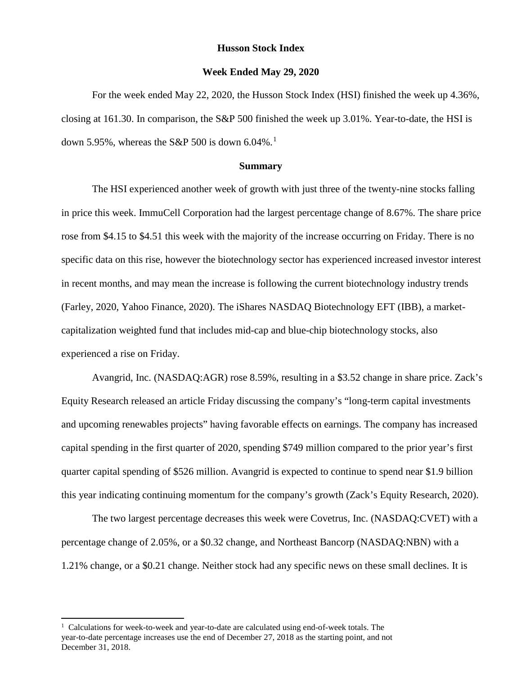#### **Husson Stock Index**

#### **Week Ended May 29, 2020**

For the week ended May 22, 2020, the Husson Stock Index (HSI) finished the week up 4.36%, closing at 161.30. In comparison, the S&P 500 finished the week up 3.01%. Year-to-date, the HSI is down 5.95%, whereas the S&P 500 is down  $6.04\%$ .<sup>[1](#page-0-0)</sup>

#### **Summary**

The HSI experienced another week of growth with just three of the twenty-nine stocks falling in price this week. ImmuCell Corporation had the largest percentage change of 8.67%. The share price rose from \$4.15 to \$4.51 this week with the majority of the increase occurring on Friday. There is no specific data on this rise, however the biotechnology sector has experienced increased investor interest in recent months, and may mean the increase is following the current biotechnology industry trends (Farley, 2020, Yahoo Finance, 2020). The iShares NASDAQ Biotechnology EFT (IBB), a marketcapitalization weighted fund that includes mid-cap and blue-chip biotechnology stocks, also experienced a rise on Friday.

Avangrid, Inc. (NASDAQ:AGR) rose 8.59%, resulting in a \$3.52 change in share price. Zack's Equity Research released an article Friday discussing the company's "long-term capital investments and upcoming renewables projects" having favorable effects on earnings. The company has increased capital spending in the first quarter of 2020, spending \$749 million compared to the prior year's first quarter capital spending of \$526 million. Avangrid is expected to continue to spend near \$1.9 billion this year indicating continuing momentum for the company's growth (Zack's Equity Research, 2020).

The two largest percentage decreases this week were Covetrus, Inc. (NASDAQ:CVET) with a percentage change of 2.05%, or a \$0.32 change, and Northeast Bancorp (NASDAQ:NBN) with a 1.21% change, or a \$0.21 change. Neither stock had any specific news on these small declines. It is

 $\overline{a}$ 

<span id="page-0-0"></span><sup>&</sup>lt;sup>1</sup> Calculations for week-to-week and year-to-date are calculated using end-of-week totals. The year-to-date percentage increases use the end of December 27, 2018 as the starting point, and not December 31, 2018.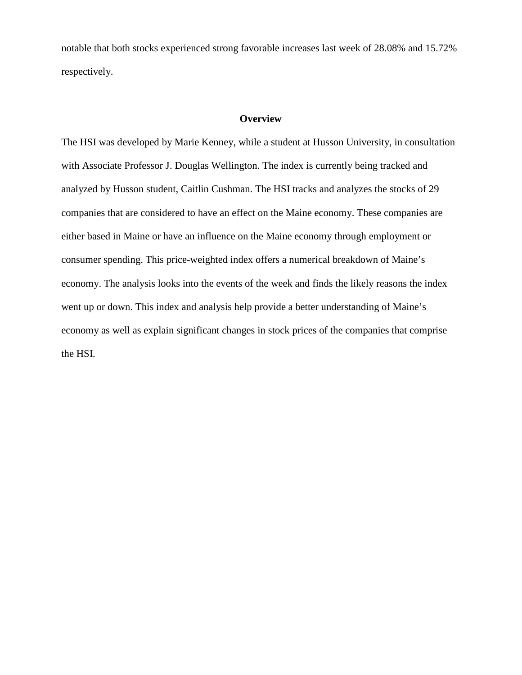notable that both stocks experienced strong favorable increases last week of 28.08% and 15.72% respectively.

### **Overview**

The HSI was developed by Marie Kenney, while a student at Husson University, in consultation with Associate Professor J. Douglas Wellington. The index is currently being tracked and analyzed by Husson student, Caitlin Cushman. The HSI tracks and analyzes the stocks of 29 companies that are considered to have an effect on the Maine economy. These companies are either based in Maine or have an influence on the Maine economy through employment or consumer spending. This price-weighted index offers a numerical breakdown of Maine's economy. The analysis looks into the events of the week and finds the likely reasons the index went up or down. This index and analysis help provide a better understanding of Maine's economy as well as explain significant changes in stock prices of the companies that comprise the HSI.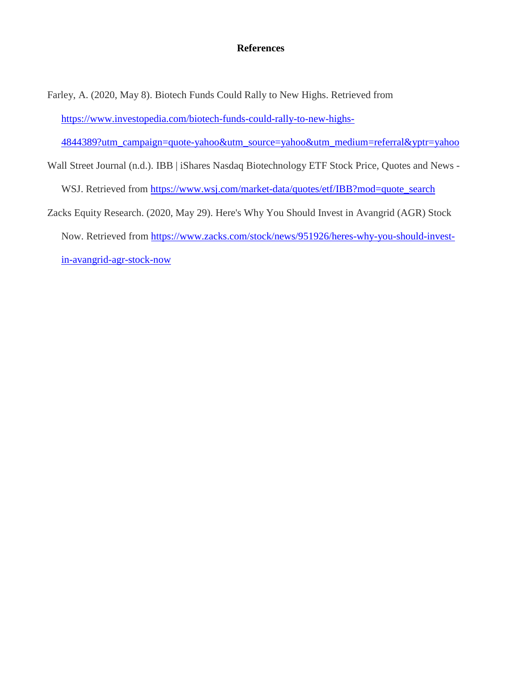## **References**

Farley, A. (2020, May 8). Biotech Funds Could Rally to New Highs. Retrieved from [https://www.investopedia.com/biotech-funds-could-rally-to-new-highs-](https://www.investopedia.com/biotech-funds-could-rally-to-new-highs-4844389?utm_campaign=quote-yahoo&utm_source=yahoo&utm_medium=referral&yptr=yahoo)

[4844389?utm\\_campaign=quote-yahoo&utm\\_source=yahoo&utm\\_medium=referral&yptr=yahoo](https://www.investopedia.com/biotech-funds-could-rally-to-new-highs-4844389?utm_campaign=quote-yahoo&utm_source=yahoo&utm_medium=referral&yptr=yahoo)

Wall Street Journal (n.d.). IBB | iShares Nasdaq Biotechnology ETF Stock Price, Quotes and News -

WSJ. Retrieved from [https://www.wsj.com/market-data/quotes/etf/IBB?mod=quote\\_search](https://www.wsj.com/market-data/quotes/etf/IBB?mod=quote_search)

Zacks Equity Research. (2020, May 29). Here's Why You Should Invest in Avangrid (AGR) Stock Now. Retrieved from [https://www.zacks.com/stock/news/951926/heres-why-you-should-invest](https://www.zacks.com/stock/news/951926/heres-why-you-should-invest-in-avangrid-agr-stock-now)[in-avangrid-agr-stock-now](https://www.zacks.com/stock/news/951926/heres-why-you-should-invest-in-avangrid-agr-stock-now)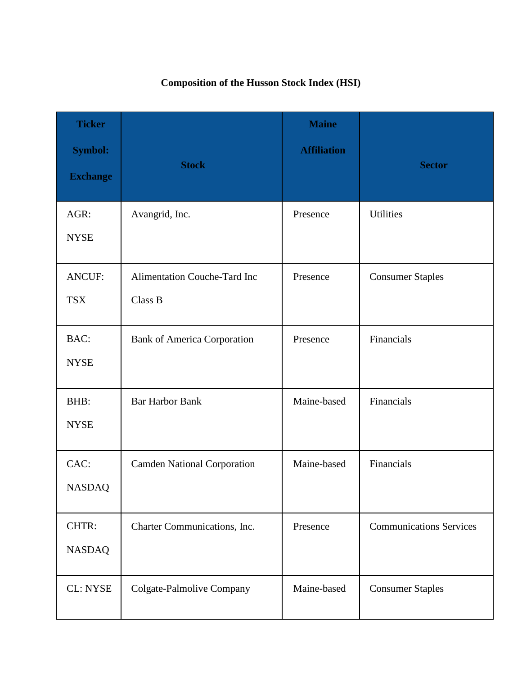# **Composition of the Husson Stock Index (HSI)**

| <b>Ticker</b><br><b>Symbol:</b><br><b>Exchange</b> | <b>Stock</b>                                   | <b>Maine</b><br><b>Affiliation</b> | <b>Sector</b>                  |
|----------------------------------------------------|------------------------------------------------|------------------------------------|--------------------------------|
| AGR:<br><b>NYSE</b>                                | Avangrid, Inc.                                 | Presence                           | <b>Utilities</b>               |
| <b>ANCUF:</b><br><b>TSX</b>                        | <b>Alimentation Couche-Tard Inc</b><br>Class B | Presence                           | <b>Consumer Staples</b>        |
| BAC:<br><b>NYSE</b>                                | <b>Bank of America Corporation</b>             | Presence                           | Financials                     |
| BHB:<br><b>NYSE</b>                                | <b>Bar Harbor Bank</b>                         | Maine-based                        | Financials                     |
| CAC:<br><b>NASDAQ</b>                              | <b>Camden National Corporation</b>             | Maine-based                        | Financials                     |
| CHTR:<br><b>NASDAQ</b>                             | Charter Communications, Inc.                   | Presence                           | <b>Communications Services</b> |
| <b>CL: NYSE</b>                                    | Colgate-Palmolive Company                      | Maine-based                        | <b>Consumer Staples</b>        |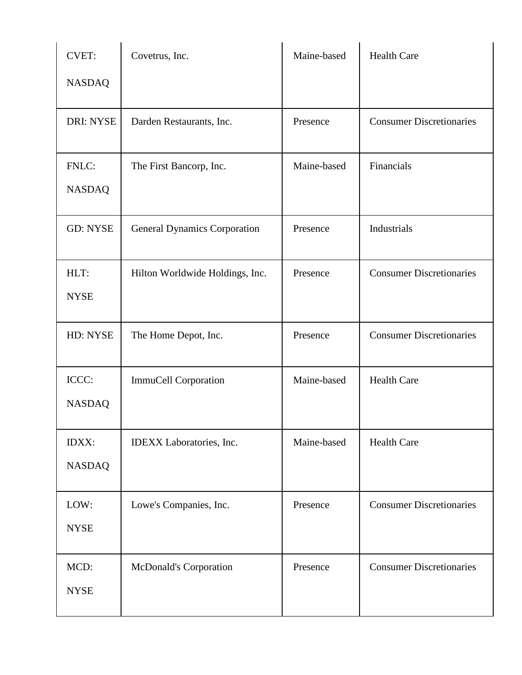| <b>CVET:</b>           | Covetrus, Inc.                      | Maine-based | <b>Health Care</b>              |
|------------------------|-------------------------------------|-------------|---------------------------------|
| <b>NASDAQ</b>          |                                     |             |                                 |
| <b>DRI: NYSE</b>       | Darden Restaurants, Inc.            | Presence    | <b>Consumer Discretionaries</b> |
| FNLC:<br><b>NASDAQ</b> | The First Bancorp, Inc.             | Maine-based | Financials                      |
| <b>GD: NYSE</b>        | <b>General Dynamics Corporation</b> | Presence    | Industrials                     |
| HLT:<br><b>NYSE</b>    | Hilton Worldwide Holdings, Inc.     | Presence    | <b>Consumer Discretionaries</b> |
| HD: NYSE               | The Home Depot, Inc.                | Presence    | <b>Consumer Discretionaries</b> |
| ICCC:<br><b>NASDAQ</b> | ImmuCell Corporation                | Maine-based | <b>Health Care</b>              |
| IDXX:<br><b>NASDAQ</b> | IDEXX Laboratories, Inc.            | Maine-based | <b>Health Care</b>              |
| LOW:<br><b>NYSE</b>    | Lowe's Companies, Inc.              | Presence    | <b>Consumer Discretionaries</b> |
| MCD:<br><b>NYSE</b>    | <b>McDonald's Corporation</b>       | Presence    | <b>Consumer Discretionaries</b> |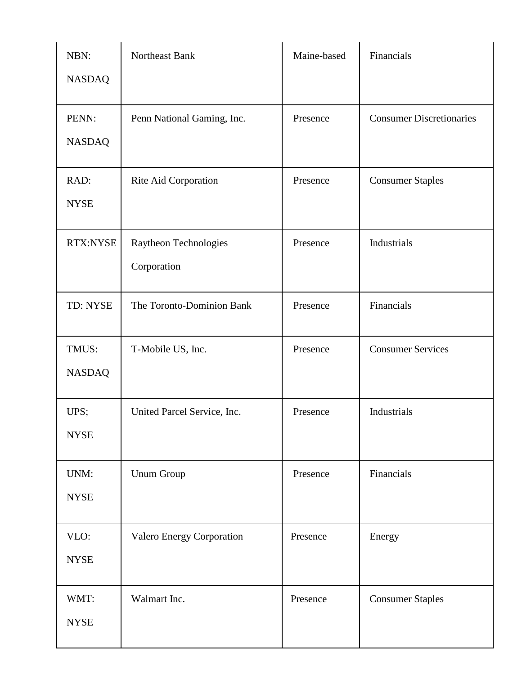| NBN:<br><b>NASDAQ</b>  | Northeast Bank                       | Maine-based | Financials                      |
|------------------------|--------------------------------------|-------------|---------------------------------|
| PENN:<br><b>NASDAQ</b> | Penn National Gaming, Inc.           | Presence    | <b>Consumer Discretionaries</b> |
| RAD:<br><b>NYSE</b>    | Rite Aid Corporation                 | Presence    | <b>Consumer Staples</b>         |
| RTX:NYSE               | Raytheon Technologies<br>Corporation | Presence    | Industrials                     |
| TD: NYSE               | The Toronto-Dominion Bank            | Presence    | Financials                      |
| TMUS:<br><b>NASDAQ</b> | T-Mobile US, Inc.                    | Presence    | <b>Consumer Services</b>        |
| UPS;<br><b>NYSE</b>    | United Parcel Service, Inc.          | Presence    | Industrials                     |
| UNM:<br><b>NYSE</b>    | Unum Group                           | Presence    | Financials                      |
| VLO:<br><b>NYSE</b>    | Valero Energy Corporation            | Presence    | Energy                          |
| WMT:<br><b>NYSE</b>    | Walmart Inc.                         | Presence    | <b>Consumer Staples</b>         |